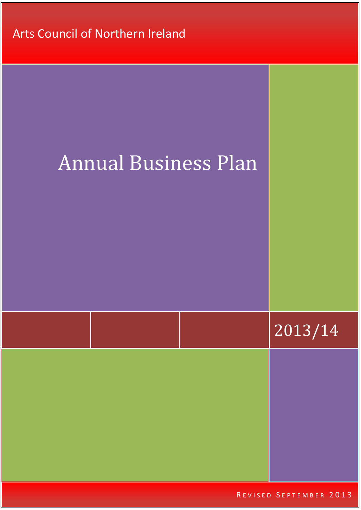Arts Council of Northern Ireland

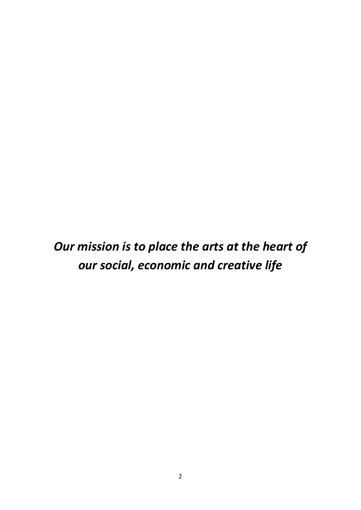# *Our mission is to place the arts at the heart of our social, economic and creative life*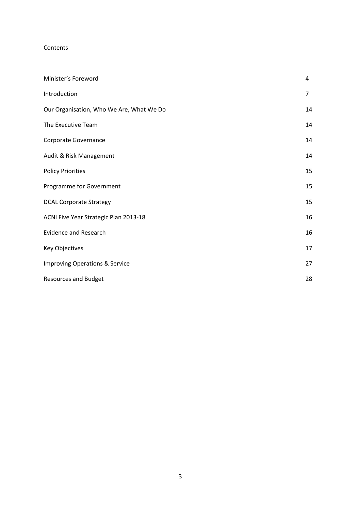#### Contents

| Minister's Foreword                       | 4  |
|-------------------------------------------|----|
| Introduction                              | 7  |
| Our Organisation, Who We Are, What We Do  | 14 |
| The Executive Team                        | 14 |
| Corporate Governance                      | 14 |
| Audit & Risk Management                   | 14 |
| <b>Policy Priorities</b>                  | 15 |
| Programme for Government                  | 15 |
| <b>DCAL Corporate Strategy</b>            | 15 |
| ACNI Five Year Strategic Plan 2013-18     | 16 |
| <b>Evidence and Research</b>              | 16 |
| Key Objectives                            | 17 |
| <b>Improving Operations &amp; Service</b> | 27 |
| <b>Resources and Budget</b>               | 28 |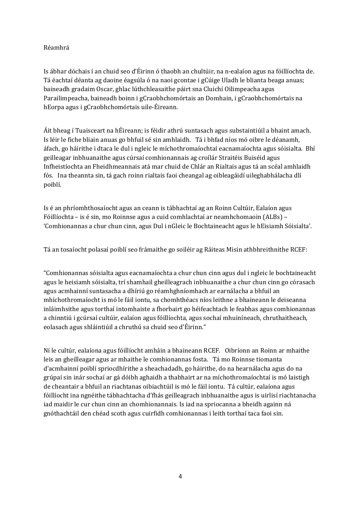## Réamhrá

Is ábhar dóchais í an chuid seo d'Éirinn ó thaobh an chultúir, na n-ealaíon agus na fóillíochta de. Tá éachtaí déanta ag daoine éagsúla ó na naoi gcontae i gCúige Uladh le blianta beaga anuas; baineadh gradaim Oscar, ghlac lúthchleasaithe páirt sna Cluichí Oilimpeacha agus Parailimpeacha, baineadh boinn i gCraobhchomórtais an Domhain, i gCraobhchomórtais na hEorpa agus i gCraobhchomórtais uile-Éireann.

Áit bheag í Tuaisceart na hÉireann; is féidir athrú suntasach agus substaintiúil a bhaint amach. Is léir le fiche bliain anuas go bhfuil sé sin amhlaidh. Tá i bhfad níos mó oibre le déanamh, áfach, go háirithe i dtaca le dul i ngleic le míchothromaíochtaí eacnamaíochta agus sóisialta. Bhí geilleagar inbhuanaithe agus cúrsaí comhionannais ag croílár Straitéis Buiséid agus Infheistíochta an Fheidhmeannais atá mar chuid de Chlár an Rialtais agus tá an scéal amhlaidh fós. Ina theannta sin, tá gach roinn rialtais faoi cheangal ag oibleagáidí uileghabhálacha dlí poiblí. 

Is é an phríomhthosaíocht agus an ceann is tábhachtaí ag an Roinn Cultúir, Ealaíon agus Fóillíochta – is é sin, mo Roinnse agus a cuid comhlachtaí ar neamhchomaoin (ALBs) – 'Comhionannas a chur chun cinn, agus Dul i nGleic le Bochtaineacht agus le hEisiamh Sóisialta'.

Tá an tosaíocht polasaí poiblí seo frámaithe go soiléir ag Ráiteas Misin athbhreithnithe RCEF:

"Comhionannas sóisialta agus eacnamaíochta a chur chun cinn agus dul i ngleic le bochtaineacht agus le heisiamh sóisialta, trí shamhail gheilleagrach inbhuanaithe a chur chun cinn go córasach agus acmhainní suntasacha a dhíriú go réamhghníomhach ar earnálacha a bhfuil an mhíchothromaíocht is mó le fáil iontu, sa chomhthéacs níos leithne a bhaineann le deiseanna inláimhsithe agus torthaí intomhaiste a fhorbairt go héifeachtach le feabhas agus comhionannas a chinntiú i gcúrsaí cultúir, ealaíon agus fóillíochta, agus sochaí mhuiníneach, chruthaitheach, eolasach agus shláintiúil a chruthú sa chuid seo d'Éirinn."

Ní le cultúr, ealaíona agus fóillíocht amháin a bhaineann RCEF. Oibríonn an Roinn ar mhaithe leis an gheilleagar agus ar mhaithe le comhionannas fosta. Tá mo Roinnse tiomanta d'acmhainní poiblí spriocdhírithe a sheachadadh, go háirithe, do na hearnálacha agus do na grúpaí sin inár sochaí ar gá dóibh aghaidh a thabhairt ar na míchothromaíochtaí is mó laistigh de cheantair a bhfuil an riachtanas oibiachtúil is mó le fáil iontu. Tá cultúr, ealaíona agus fóillíocht ina ngnéithe tábhachtacha d'fhás geilleagrach inbhuanaithe agus is uirlisí riachtanacha iad maidir le cur chun cinn an chomhionannais. Is iad na spriocanna a bheidh againn ná gnóthachtáil den chéad scoth agus cuirfidh comhionannas i leith torthaí taca faoi sin.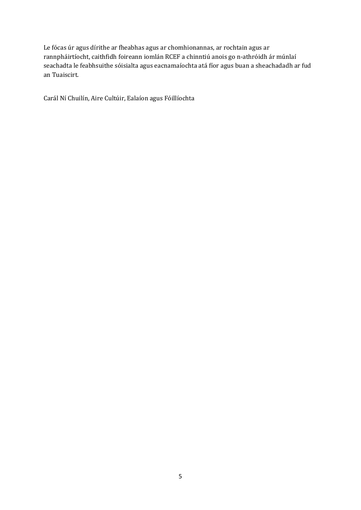Le fócas úr agus dírithe ar fheabhas agus ar chomhionannas, ar rochtain agus ar rannpháirtíocht, caithfidh foireann iomlán RCEF a chinntiú anois go n-athróidh ár múnlaí seachadta le feabhsuithe sóisialta agus eacnamaíochta atá fíor agus buan a sheachadadh ar fud an Tuaiscirt. 

Carál Ní Chuilín, Aire Cultúir, Ealaíon agus Fóillíochta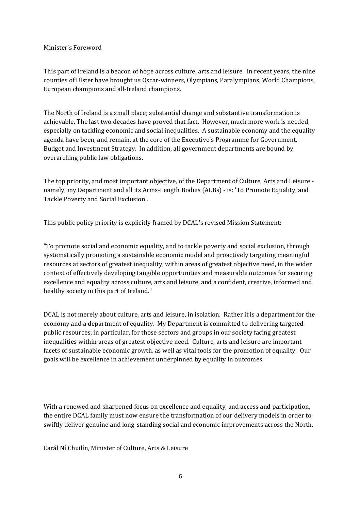#### Minister's Foreword

This part of Ireland is a beacon of hope across culture, arts and leisure. In recent years, the nine counties of Ulster have brought us Oscar-winners, Olympians, Paralympians, World Champions, European champions and all-Ireland champions.

The North of Ireland is a small place; substantial change and substantive transformation is achievable. The last two decades have proved that fact. However, much more work is needed, especially on tackling economic and social inequalities. A sustainable economy and the equality agenda have been, and remain, at the core of the Executive's Programme for Government, Budget and Investment Strategy. In addition, all government departments are bound by overarching public law obligations.

The top priority, and most important objective, of the Department of Culture, Arts and Leisure namely, my Department and all its Arms-Length Bodies (ALBs) - is: 'To Promote Equality, and Tackle Poverty and Social Exclusion'.

This public policy priority is explicitly framed by DCAL's revised Mission Statement:

"To promote social and economic equality, and to tackle poverty and social exclusion, through systematically promoting a sustainable economic model and proactively targeting meaningful resources at sectors of greatest inequality, within areas of greatest objective need, in the wider context of effectively developing tangible opportunities and measurable outcomes for securing excellence and equality across culture, arts and leisure, and a confident, creative, informed and healthy society in this part of Ireland."

DCAL is not merely about culture, arts and leisure, in isolation. Rather it is a department for the economy and a department of equality. My Department is committed to delivering targeted public resources, in particular, for those sectors and groups in our society facing greatest inequalities within areas of greatest objective need. Culture, arts and leisure are important facets of sustainable economic growth, as well as vital tools for the promotion of equality. Our goals will be excellence in achievement underpinned by equality in outcomes.

With a renewed and sharpened focus on excellence and equality, and access and participation, the entire DCAL family must now ensure the transformation of our delivery models in order to swiftly deliver genuine and long-standing social and economic improvements across the North.

Carál Ní Chuilín, Minister of Culture, Arts & Leisure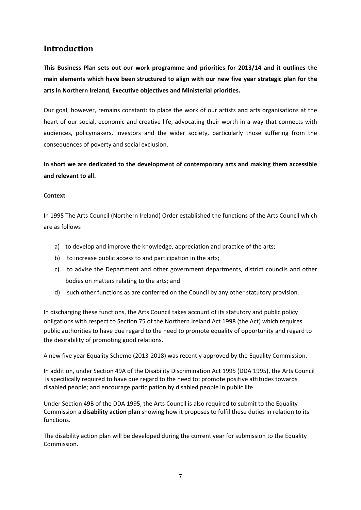# **Introduction**

**This Business Plan sets out our work programme and priorities for 2013/14 and it outlines the main elements which have been structured to align with our new five year strategic plan for the arts in Northern Ireland, Executive objectives and Ministerial priorities.** 

Our goal, however, remains constant: to place the work of our artists and arts organisations at the heart of our social, economic and creative life, advocating their worth in a way that connects with audiences, policymakers, investors and the wider society, particularly those suffering from the consequences of poverty and social exclusion.

**In short we are dedicated to the development of contemporary arts and making them accessible and relevant to all.**

#### **Context**

In 1995 The Arts Council (Northern Ireland) Order established the functions of the Arts Council which are as follows

- a) to develop and improve the knowledge, appreciation and practice of the arts;
- b) to increase public access to and participation in the arts;
- c) to advise the Department and other government departments, district councils and other bodies on matters relating to the arts; and
- d) such other functions as are conferred on the Council by any other statutory provision.

In discharging these functions, the Arts Council takes account of its statutory and public policy obligations with respect to Section 75 of the Northern Ireland Act 1998 (the Act) which requires public authorities to have due regard to the need to promote equality of opportunity and regard to the desirability of promoting good relations.

A new five year Equality Scheme (2013‐2018) was recently approved by the Equality Commission.

In addition, under Section 49A of the Disability Discrimination Act 1995 (DDA 1995), the Arts Council is specifically required to have due regard to the need to: promote positive attitudes towards disabled people; and encourage participation by disabled people in public life

Under Section 49B of the DDA 1995, the Arts Council is also required to submit to the Equality Commission a **disability action plan** showing how it proposes to fulfil these duties in relation to its functions.

The disability action plan will be developed during the current year for submission to the Equality Commission.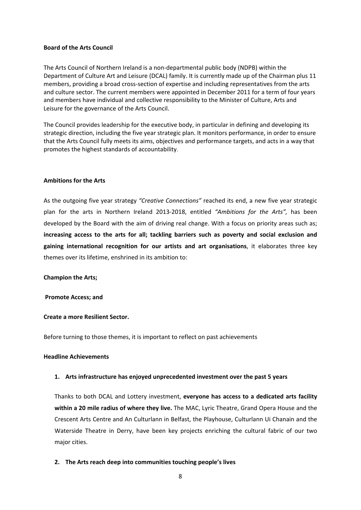#### **Board of the Arts Council**

The Arts Council of Northern Ireland is a non‐departmental public body (NDPB) within the Department of Culture Art and Leisure (DCAL) family. It is currently made up of the Chairman plus 11 members, providing a broad cross‐section of expertise and including representatives from the arts and culture sector. The current members were appointed in December 2011 for a term of four years and members have individual and collective responsibility to the Minister of Culture, Arts and Leisure for the governance of the Arts Council.

The Council provides leadership for the executive body, in particular in defining and developing its strategic direction, including the five year strategic plan. It monitors performance, in order to ensure that the Arts Council fully meets its aims, objectives and performance targets, and acts in a way that promotes the highest standards of accountability.

#### **Ambitions for the Arts**

As the outgoing five year strategy *"Creative Connections"* reached its end, a new five year strategic plan for the arts in Northern Ireland 2013‐2018, entitled *"Ambitions for the Arts",* has been developed by the Board with the aim of driving real change. With a focus on priority areas such as; **increasing access to the arts for all; tackling barriers such as poverty and social exclusion and gaining international recognition for our artists and art organisations**, it elaborates three key themes over its lifetime, enshrined in its ambition to:

#### **Champion the Arts;**

#### **Promote Access; and**

#### **Create a more Resilient Sector.**

Before turning to those themes, it is important to reflect on past achievements

#### **Headline Achievements**

#### **1. Arts infrastructure has enjoyed unprecedented investment over the past 5 years**

Thanks to both DCAL and Lottery investment, **everyone has access to a dedicated arts facility within a 20 mile radius of where they live.** The MAC, Lyric Theatre, Grand Opera House and the Crescent Arts Centre and An Culturlann in Belfast, the Playhouse, Culturlann Ui Chanain and the Waterside Theatre in Derry, have been key projects enriching the cultural fabric of our two major cities.

#### **2. The Arts reach deep into communities touching people's lives**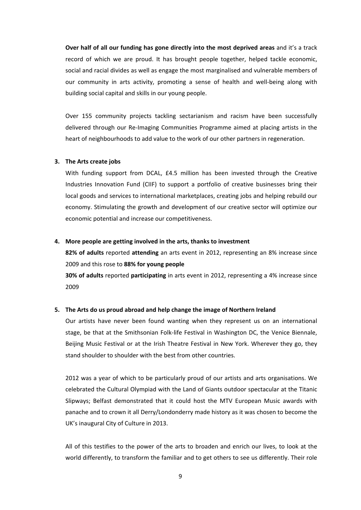**Over half of all our funding has gone directly into the most deprived areas** and it's a track record of which we are proud. It has brought people together, helped tackle economic, social and racial divides as well as engage the most marginalised and vulnerable members of our community in arts activity, promoting a sense of health and well‐being along with building social capital and skills in our young people.

Over 155 community projects tackling sectarianism and racism have been successfully delivered through our Re‐Imaging Communities Programme aimed at placing artists in the heart of neighbourhoods to add value to the work of our other partners in regeneration.

#### **3. The Arts create jobs**

With funding support from DCAL, £4.5 million has been invested through the Creative Industries Innovation Fund (CIIF) to support a portfolio of creative businesses bring their local goods and services to international marketplaces, creating jobs and helping rebuild our economy. Stimulating the growth and development of our creative sector will optimize our economic potential and increase our competitiveness.

#### **4. More people are getting involved in the arts, thanks to investment**

**82% of adults** reported **attending** an arts event in 2012, representing an 8% increase since 2009 and this rose to **88% for young people**

**30% of adults** reported **participating** in arts event in 2012, representing a 4% increase since 2009

#### **5. The Arts do us proud abroad and help change the image of Northern Ireland**

Our artists have never been found wanting when they represent us on an international stage, be that at the Smithsonian Folk‐life Festival in Washington DC, the Venice Biennale, Beijing Music Festival or at the Irish Theatre Festival in New York. Wherever they go, they stand shoulder to shoulder with the best from other countries.

2012 was a year of which to be particularly proud of our artists and arts organisations. We celebrated the Cultural Olympiad with the Land of Giants outdoor spectacular at the Titanic Slipways; Belfast demonstrated that it could host the MTV European Music awards with panache and to crown it all Derry/Londonderry made history as it was chosen to become the UK's inaugural City of Culture in 2013.

All of this testifies to the power of the arts to broaden and enrich our lives, to look at the world differently, to transform the familiar and to get others to see us differently. Their role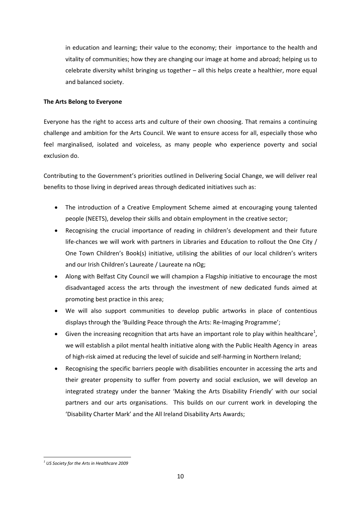in education and learning; their value to the economy; their importance to the health and vitality of communities; how they are changing our image at home and abroad; helping us to celebrate diversity whilst bringing us together – all this helps create a healthier, more equal and balanced society.

#### **The Arts Belong to Everyone**

Everyone has the right to access arts and culture of their own choosing. That remains a continuing challenge and ambition for the Arts Council. We want to ensure access for all, especially those who feel marginalised, isolated and voiceless, as many people who experience poverty and social exclusion do.

Contributing to the Government's priorities outlined in Delivering Social Change, we will deliver real benefits to those living in deprived areas through dedicated initiatives such as:

- The introduction of a Creative Employment Scheme aimed at encouraging young talented people (NEETS), develop their skills and obtain employment in the creative sector;
- Recognising the crucial importance of reading in children's development and their future life-chances we will work with partners in Libraries and Education to rollout the One City / One Town Children's Book(s) initiative, utilising the abilities of our local children's writers and our Irish Children's Laureate / Laureate na nOg;
- Along with Belfast City Council we will champion a Flagship initiative to encourage the most disadvantaged access the arts through the investment of new dedicated funds aimed at promoting best practice in this area;
- We will also support communities to develop public artworks in place of contentious displays through the 'Building Peace through the Arts: Re‐Imaging Programme';
- $\bullet$  Given the increasing recognition that arts have an important role to play within healthcare<sup>1</sup>, we will establish a pilot mental health initiative along with the Public Health Agency in areas of high-risk aimed at reducing the level of suicide and self-harming in Northern Ireland;
- Recognising the specific barriers people with disabilities encounter in accessing the arts and their greater propensity to suffer from poverty and social exclusion, we will develop an integrated strategy under the banner 'Making the Arts Disability Friendly' with our social partners and our arts organisations. This builds on our current work in developing the 'Disability Charter Mark' and the All Ireland Disability Arts Awards;

 *<sup>1</sup> US Society for the Arts in Healthcare 2009*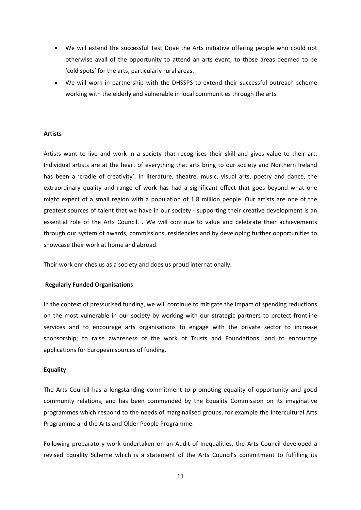- We will extend the successful Test Drive the Arts initiative offering people who could not otherwise avail of the opportunity to attend an arts event, to those areas deemed to be 'cold spots' for the arts, particularly rural areas.
- We will work in partnership with the DHSSPS to extend their successful outreach scheme working with the elderly and vulnerable in local communities through the arts

#### **Artists**

Artists want to live and work in a society that recognises their skill and gives value to their art. Individual artists are at the heart of everything that arts bring to our society and Northern Ireland has been a 'cradle of creativity'. In literature, theatre, music, visual arts, poetry and dance, the extraordinary quality and range of work has had a significant effect that goes beyond what one might expect of a small region with a population of 1.8 million people. Our artists are one of the greatest sources of talent that we have in our society ‐ supporting their creative development is an essential role of the Arts Council. . We will continue to value and celebrate their achievements through our system of awards, commissions, residencies and by developing further opportunities to showcase their work at home and abroad.

Their work enriches us as a society and does us proud internationally.

#### **Regularly Funded Organisations**

In the context of pressurised funding, we will continue to mitigate the impact of spending reductions on the most vulnerable in our society by working with our strategic partners to protect frontline services and to encourage arts organisations to engage with the private sector to increase sponsorship; to raise awareness of the work of Trusts and Foundations; and to encourage applications for European sources of funding.

#### **Equality**

The Arts Council has a longstanding commitment to promoting equality of opportunity and good community relations, and has been commended by the Equality Commission on its imaginative programmes which respond to the needs of marginalised groups, for example the Intercultural Arts Programme and the Arts and Older People Programme.

Following preparatory work undertaken on an Audit of Inequalities, the Arts Council developed a revised Equality Scheme which is a statement of the Arts Council's commitment to fulfilling its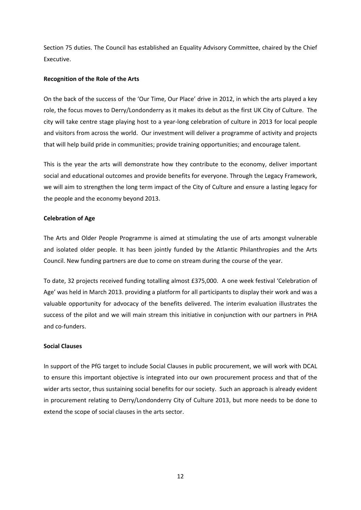Section 75 duties. The Council has established an Equality Advisory Committee, chaired by the Chief Executive.

#### **Recognition of the Role of the Arts**

On the back of the success of the 'Our Time, Our Place' drive in 2012, in which the arts played a key role, the focus moves to Derry/Londonderry as it makes its debut as the first UK City of Culture. The city will take centre stage playing host to a year‐long celebration of culture in 2013 for local people and visitors from across the world. Our investment will deliver a programme of activity and projects that will help build pride in communities; provide training opportunities; and encourage talent.

This is the year the arts will demonstrate how they contribute to the economy, deliver important social and educational outcomes and provide benefits for everyone. Through the Legacy Framework, we will aim to strengthen the long term impact of the City of Culture and ensure a lasting legacy for the people and the economy beyond 2013.

#### **Celebration of Age**

The Arts and Older People Programme is aimed at stimulating the use of arts amongst vulnerable and isolated older people. It has been jointly funded by the Atlantic Philanthropies and the Arts Council. New funding partners are due to come on stream during the course of the year.

To date, 32 projects received funding totalling almost £375,000. A one week festival 'Celebration of Age' was held in March 2013. providing a platform for all participants to display their work and was a valuable opportunity for advocacy of the benefits delivered. The interim evaluation illustrates the success of the pilot and we will main stream this initiative in conjunction with our partners in PHA and co‐funders.

#### **Social Clauses**

In support of the PfG target to include Social Clauses in public procurement, we will work with DCAL to ensure this important objective is integrated into our own procurement process and that of the wider arts sector, thus sustaining social benefits for our society. Such an approach is already evident in procurement relating to Derry/Londonderry City of Culture 2013, but more needs to be done to extend the scope of social clauses in the arts sector.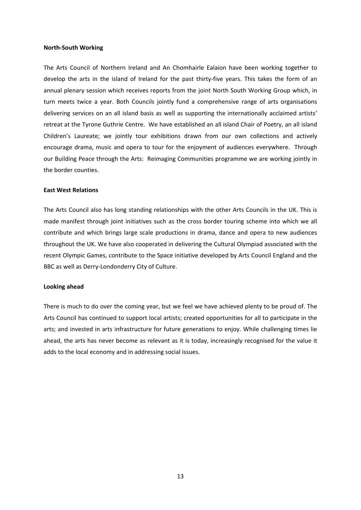#### **North‐South Working**

The Arts Council of Northern Ireland and An Chomhairle Ealaíon have been working together to develop the arts in the island of Ireland for the past thirty-five years. This takes the form of an annual plenary session which receives reports from the joint North South Working Group which, in turn meets twice a year. Both Councils jointly fund a comprehensive range of arts organisations delivering services on an all island basis as well as supporting the internationally acclaimed artists' retreat at the Tyrone Guthrie Centre. We have established an all island Chair of Poetry, an all island Children's Laureate; we jointly tour exhibitions drawn from our own collections and actively encourage drama, music and opera to tour for the enjoyment of audiences everywhere. Through our Building Peace through the Arts: Reimaging Communities programme we are working jointly in the border counties.

#### **East West Relations**

The Arts Council also has long standing relationships with the other Arts Councils in the UK. This is made manifest through joint initiatives such as the cross border touring scheme into which we all contribute and which brings large scale productions in drama, dance and opera to new audiences throughout the UK. We have also cooperated in delivering the Cultural Olympiad associated with the recent Olympic Games, contribute to the Space initiative developed by Arts Council England and the BBC as well as Derry‐Londonderry City of Culture.

#### **Looking ahead**

There is much to do over the coming year, but we feel we have achieved plenty to be proud of. The Arts Council has continued to support local artists; created opportunities for all to participate in the arts; and invested in arts infrastructure for future generations to enjoy. While challenging times lie ahead, the arts has never become as relevant as it is today, increasingly recognised for the value it adds to the local economy and in addressing social issues.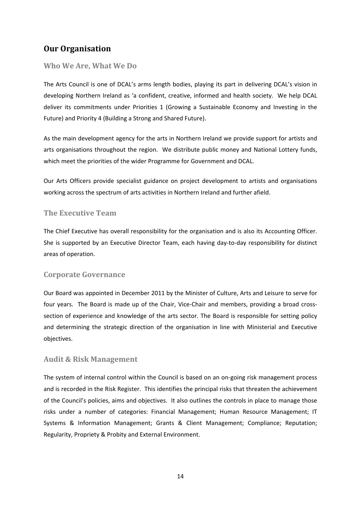# **Our Organisation**

## **Who We Are, What We Do**

The Arts Council is one of DCAL's arms length bodies, playing its part in delivering DCAL's vision in developing Northern Ireland as 'a confident, creative, informed and health society. We help DCAL deliver its commitments under Priorities 1 (Growing a Sustainable Economy and Investing in the Future) and Priority 4 (Building a Strong and Shared Future).

As the main development agency for the arts in Northern Ireland we provide support for artists and arts organisations throughout the region. We distribute public money and National Lottery funds, which meet the priorities of the wider Programme for Government and DCAL.

Our Arts Officers provide specialist guidance on project development to artists and organisations working across the spectrum of arts activities in Northern Ireland and further afield.

## **The Executive Team**

The Chief Executive has overall responsibility for the organisation and is also its Accounting Officer. She is supported by an Executive Director Team, each having day‐to‐day responsibility for distinct areas of operation.

## **Corporate Governance**

Our Board was appointed in December 2011 by the Minister of Culture, Arts and Leisure to serve for four years. The Board is made up of the Chair, Vice-Chair and members, providing a broad crosssection of experience and knowledge of the arts sector. The Board is responsible for setting policy and determining the strategic direction of the organisation in line with Ministerial and Executive objectives.

### **Audit & Risk Management**

The system of internal control within the Council is based on an on-going risk management process and is recorded in the Risk Register. This identifies the principal risks that threaten the achievement of the Council's policies, aims and objectives. It also outlines the controls in place to manage those risks under a number of categories: Financial Management; Human Resource Management; IT Systems & Information Management; Grants & Client Management; Compliance; Reputation; Regularity, Propriety & Probity and External Environment.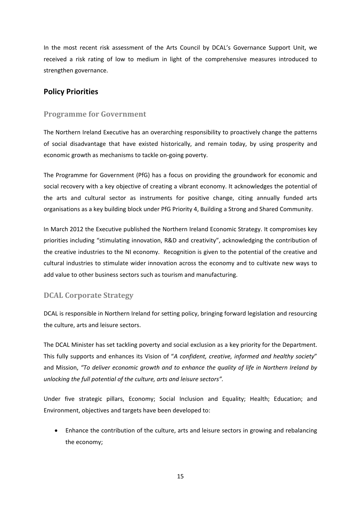In the most recent risk assessment of the Arts Council by DCAL's Governance Support Unit, we received a risk rating of low to medium in light of the comprehensive measures introduced to strengthen governance.

## **Policy Priorities**

## **Programme for Government**

The Northern Ireland Executive has an overarching responsibility to proactively change the patterns of social disadvantage that have existed historically, and remain today, by using prosperity and economic growth as mechanisms to tackle on‐going poverty.

The Programme for Government (PfG) has a focus on providing the groundwork for economic and social recovery with a key objective of creating a vibrant economy. It acknowledges the potential of the arts and cultural sector as instruments for positive change, citing annually funded arts organisations as a key building block under PfG Priority 4, Building a Strong and Shared Community.

In March 2012 the Executive published the Northern Ireland Economic Strategy. It compromises key priorities including "stimulating innovation, R&D and creativity", acknowledging the contribution of the creative industries to the NI economy. Recognition is given to the potential of the creative and cultural industries to stimulate wider innovation across the economy and to cultivate new ways to add value to other business sectors such as tourism and manufacturing.

## **DCAL Corporate Strategy**

DCAL is responsible in Northern Ireland for setting policy, bringing forward legislation and resourcing the culture, arts and leisure sectors.

The DCAL Minister has set tackling poverty and social exclusion as a key priority for the Department. This fully supports and enhances its Vision of "*A confident, creative, informed and healthy society*" and Mission, *"To deliver economic growth and to enhance the quality of life in Northern Ireland by unlocking the full potential of the culture, arts and leisure sectors".* 

Under five strategic pillars, Economy; Social Inclusion and Equality; Health; Education; and Environment, objectives and targets have been developed to:

 Enhance the contribution of the culture, arts and leisure sectors in growing and rebalancing the economy;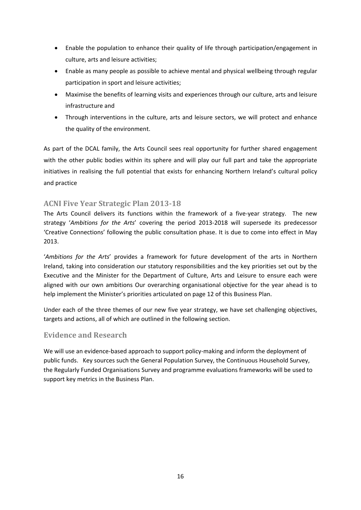- Enable the population to enhance their quality of life through participation/engagement in culture, arts and leisure activities;
- Enable as many people as possible to achieve mental and physical wellbeing through regular participation in sport and leisure activities;
- Maximise the benefits of learning visits and experiences through our culture, arts and leisure infrastructure and
- Through interventions in the culture, arts and leisure sectors, we will protect and enhance the quality of the environment.

As part of the DCAL family, the Arts Council sees real opportunity for further shared engagement with the other public bodies within its sphere and will play our full part and take the appropriate initiatives in realising the full potential that exists for enhancing Northern Ireland's cultural policy and practice

## **ACNI Five Year Strategic Plan 2013‐18**

The Arts Council delivers its functions within the framework of a five-year strategy. The new strategy '*Ambitions for the Arts*' covering the period 2013‐2018 will supersede its predecessor 'Creative Connections' following the public consultation phase. It is due to come into effect in May 2013.

'*Ambitions for the Arts*' provides a framework for future development of the arts in Northern Ireland, taking into consideration our statutory responsibilities and the key priorities set out by the Executive and the Minister for the Department of Culture, Arts and Leisure to ensure each were aligned with our own ambitions Our overarching organisational objective for the year ahead is to help implement the Minister's priorities articulated on page 12 of this Business Plan.

Under each of the three themes of our new five year strategy, we have set challenging objectives, targets and actions, all of which are outlined in the following section.

## **Evidence and Research**

We will use an evidence-based approach to support policy-making and inform the deployment of public funds. Key sources such the General Population Survey, the Continuous Household Survey, the Regularly Funded Organisations Survey and programme evaluations frameworks will be used to support key metrics in the Business Plan.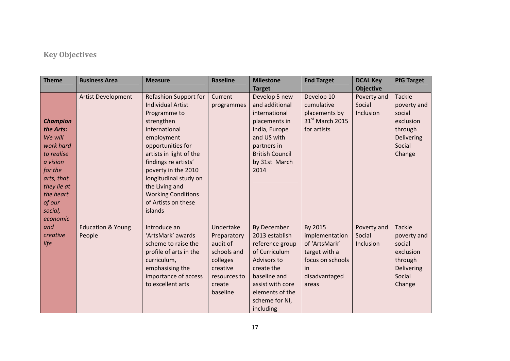# **Key Objectives**

| <b>Theme</b>                                                                                                                                                         | <b>Business Area</b>                   | <b>Measure</b>                                                                                                                                                                                                                                                                                                                 | <b>Baseline</b>                                                                                                   | <b>Milestone</b><br><b>Target</b>                                                                                                                                                           | <b>End Target</b>                                                                                               | <b>DCAL Key</b><br><b>Objective</b> | <b>PfG Target</b>                                                                                |
|----------------------------------------------------------------------------------------------------------------------------------------------------------------------|----------------------------------------|--------------------------------------------------------------------------------------------------------------------------------------------------------------------------------------------------------------------------------------------------------------------------------------------------------------------------------|-------------------------------------------------------------------------------------------------------------------|---------------------------------------------------------------------------------------------------------------------------------------------------------------------------------------------|-----------------------------------------------------------------------------------------------------------------|-------------------------------------|--------------------------------------------------------------------------------------------------|
| <b>Champion</b><br>the Arts:<br>We will<br>work hard<br>to realise<br>a vision<br>for the<br>arts, that<br>they lie at<br>the heart<br>of our<br>social,<br>economic | <b>Artist Development</b>              | <b>Refashion Support for</b><br><b>Individual Artist</b><br>Programme to<br>strengthen<br>international<br>employment<br>opportunities for<br>artists in light of the<br>findings re artists'<br>poverty in the 2010<br>longitudinal study on<br>the Living and<br><b>Working Conditions</b><br>of Artists on these<br>islands | Current<br>programmes                                                                                             | Develop 5 new<br>and additional<br>international<br>placements in<br>India, Europe<br>and US with<br>partners in<br><b>British Council</b><br>by 31st March<br>2014                         | Develop 10<br>cumulative<br>placements by<br>31 <sup>st</sup> March 2015<br>for artists                         | Poverty and<br>Social<br>Inclusion  | <b>Tackle</b><br>poverty and<br>social<br>exclusion<br>through<br>Delivering<br>Social<br>Change |
| and<br>creative<br>life                                                                                                                                              | <b>Education &amp; Young</b><br>People | Introduce an<br>'ArtsMark' awards<br>scheme to raise the<br>profile of arts in the<br>curriculum,<br>emphasising the<br>importance of access<br>to excellent arts                                                                                                                                                              | Undertake<br>Preparatory<br>audit of<br>schools and<br>colleges<br>creative<br>resources to<br>create<br>baseline | By December<br>2013 establish<br>reference group<br>of Curriculum<br><b>Advisors to</b><br>create the<br>baseline and<br>assist with core<br>elements of the<br>scheme for NI,<br>including | By 2015<br>implementation<br>of 'ArtsMark'<br>target with a<br>focus on schools<br>in<br>disadvantaged<br>areas | Poverty and<br>Social<br>Inclusion  | <b>Tackle</b><br>poverty and<br>social<br>exclusion<br>through<br>Delivering<br>Social<br>Change |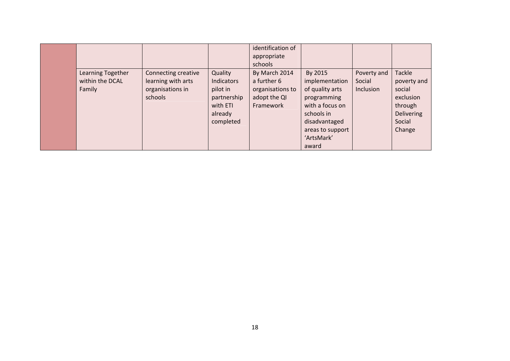|                                                |                                                                          |                                                                                      | identification of<br>appropriate<br>schools                                   |                                                                                                                                                          |                                    |                                                                                                  |
|------------------------------------------------|--------------------------------------------------------------------------|--------------------------------------------------------------------------------------|-------------------------------------------------------------------------------|----------------------------------------------------------------------------------------------------------------------------------------------------------|------------------------------------|--------------------------------------------------------------------------------------------------|
| Learning Together<br>within the DCAL<br>Family | Connecting creative<br>learning with arts<br>organisations in<br>schools | Quality<br>Indicators<br>pilot in<br>partnership<br>with ETI<br>already<br>completed | By March 2014<br>a further 6<br>organisations to<br>adopt the QI<br>Framework | By 2015<br>implementation<br>of quality arts<br>programming<br>with a focus on<br>schools in<br>disadvantaged<br>areas to support<br>'ArtsMark'<br>award | Poverty and<br>Social<br>Inclusion | Tackle<br>poverty and<br>social<br>exclusion<br>through<br><b>Delivering</b><br>Social<br>Change |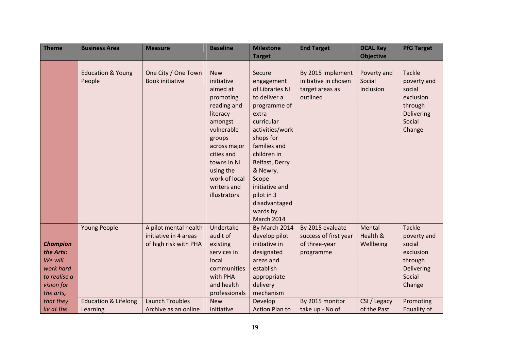| <b>Theme</b>                                                                                    | <b>Business Area</b>                        | <b>Measure</b>                                                          | <b>Baseline</b>                                                                                                                                                                                                           | <b>Milestone</b>                                                                                                                                                                                                                                                                        | <b>End Target</b>                                                        | <b>DCAL Key</b>                    | <b>PfG Target</b>                                                                                |
|-------------------------------------------------------------------------------------------------|---------------------------------------------|-------------------------------------------------------------------------|---------------------------------------------------------------------------------------------------------------------------------------------------------------------------------------------------------------------------|-----------------------------------------------------------------------------------------------------------------------------------------------------------------------------------------------------------------------------------------------------------------------------------------|--------------------------------------------------------------------------|------------------------------------|--------------------------------------------------------------------------------------------------|
|                                                                                                 |                                             |                                                                         |                                                                                                                                                                                                                           | <b>Target</b>                                                                                                                                                                                                                                                                           |                                                                          | <b>Objective</b>                   |                                                                                                  |
|                                                                                                 | <b>Education &amp; Young</b><br>People      | One City / One Town<br><b>Book initiative</b>                           | <b>New</b><br>initiative<br>aimed at<br>promoting<br>reading and<br>literacy<br>amongst<br>vulnerable<br>groups<br>across major<br>cities and<br>towns in NI<br>using the<br>work of local<br>writers and<br>illustrators | Secure<br>engagement<br>of Libraries NI<br>to deliver a<br>programme of<br>extra-<br>curricular<br>activities/work<br>shops for<br>families and<br>children in<br>Belfast, Derry<br>& Newry.<br>Scope<br>initiative and<br>pilot in 3<br>disadvantaged<br>wards by<br><b>March 2014</b> | By 2015 implement<br>initiative in chosen<br>target areas as<br>outlined | Poverty and<br>Social<br>Inclusion | <b>Tackle</b><br>poverty and<br>social<br>exclusion<br>through<br>Delivering<br>Social<br>Change |
| <b>Champion</b><br>the Arts:<br>We will<br>work hard<br>to realise a<br>vision for<br>the arts, | <b>Young People</b>                         | A pilot mental health<br>initiative in 4 areas<br>of high risk with PHA | Undertake<br>audit of<br>existing<br>services in<br>local<br>communities<br>with PHA<br>and health<br>professionals                                                                                                       | By March 2014<br>develop pilot<br>initiative in<br>designated<br>areas and<br>establish<br>appropriate<br>delivery<br>mechanism                                                                                                                                                         | By 2015 evaluate<br>success of first year<br>of three-year<br>programme  | Mental<br>Health &<br>Wellbeing    | <b>Tackle</b><br>poverty and<br>social<br>exclusion<br>through<br>Delivering<br>Social<br>Change |
| that they<br>lie at the                                                                         | <b>Education &amp; Lifelong</b><br>Learning | <b>Launch Troubles</b><br>Archive as an online                          | <b>New</b><br>initiative                                                                                                                                                                                                  | Develop<br><b>Action Plan to</b>                                                                                                                                                                                                                                                        | By 2015 monitor<br>take up - No of                                       | CSI / Legacy<br>of the Past        | Promoting<br>Equality of                                                                         |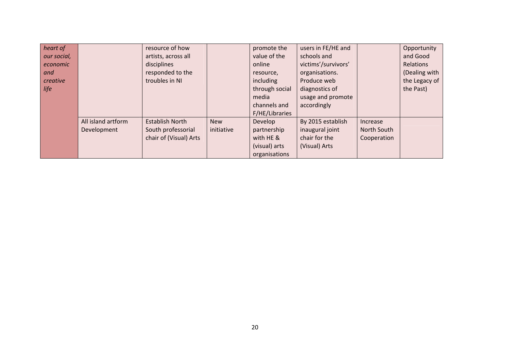| heart of    |                    | resource of how        |            | promote the    | users in FE/HE and  |                 | Opportunity   |
|-------------|--------------------|------------------------|------------|----------------|---------------------|-----------------|---------------|
| our social, |                    | artists, across all    |            | value of the   | schools and         |                 | and Good      |
| economic    |                    | disciplines            |            | online         | victims'/survivors' |                 | Relations     |
| and         |                    | responded to the       |            | resource,      | organisations.      |                 | (Dealing with |
| creative    |                    | troubles in NI         |            | including      | Produce web         |                 | the Legacy of |
| life        |                    |                        |            | through social | diagnostics of      |                 | the Past)     |
|             |                    |                        |            | media          | usage and promote   |                 |               |
|             |                    |                        |            | channels and   | accordingly         |                 |               |
|             |                    |                        |            | F/HE/Libraries |                     |                 |               |
|             | All island artform | <b>Establish North</b> | <b>New</b> | Develop        | By 2015 establish   | <b>Increase</b> |               |
|             | Development        | South professorial     | initiative | partnership    | inaugural joint     | North South     |               |
|             |                    | chair of (Visual) Arts |            | with HE &      | chair for the       | Cooperation     |               |
|             |                    |                        |            | (visual) arts  | (Visual) Arts       |                 |               |
|             |                    |                        |            | organisations  |                     |                 |               |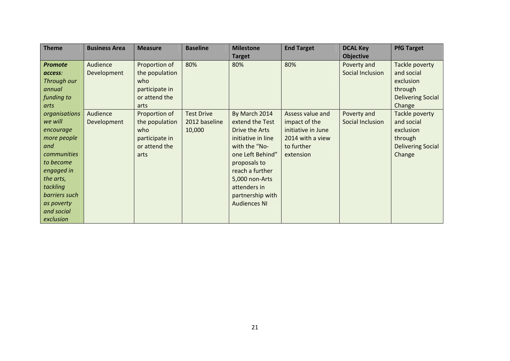| <b>Theme</b>       | <b>Business Area</b> | <b>Measure</b> | <b>Baseline</b>   | <b>Milestone</b>    | <b>End Target</b>  | <b>DCAL Key</b>  | <b>PfG Target</b>        |
|--------------------|----------------------|----------------|-------------------|---------------------|--------------------|------------------|--------------------------|
|                    |                      |                |                   | <b>Target</b>       |                    | <b>Objective</b> |                          |
| <b>Promote</b>     | Audience             | Proportion of  | 80%               | 80%                 | 80%                | Poverty and      | Tackle poverty           |
| access:            | Development          | the population |                   |                     |                    | Social Inclusion | and social               |
| Through our        |                      | who            |                   |                     |                    |                  | exclusion                |
| annual             |                      | participate in |                   |                     |                    |                  | through                  |
| funding to         |                      | or attend the  |                   |                     |                    |                  | <b>Delivering Social</b> |
| arts               |                      | arts           |                   |                     |                    |                  | Change                   |
| organisations      | Audience             | Proportion of  | <b>Test Drive</b> | By March 2014       | Assess value and   | Poverty and      | Tackle poverty           |
| we will            | Development          | the population | 2012 baseline     | extend the Test     | impact of the      | Social Inclusion | and social               |
| encourage          |                      | who            | 10,000            | Drive the Arts      | initiative in June |                  | exclusion                |
| more people        |                      | participate in |                   | initiative in line  | 2014 with a view   |                  | through                  |
| and                |                      | or attend the  |                   | with the "No-       | to further         |                  | <b>Delivering Social</b> |
| <b>communities</b> |                      | arts           |                   | one Left Behind"    | extension          |                  | Change                   |
| to become          |                      |                |                   | proposals to        |                    |                  |                          |
| engaged in         |                      |                |                   | reach a further     |                    |                  |                          |
| the arts,          |                      |                |                   | 5,000 non-Arts      |                    |                  |                          |
| tackling           |                      |                |                   | attenders in        |                    |                  |                          |
| barriers such      |                      |                |                   | partnership with    |                    |                  |                          |
| as poverty         |                      |                |                   | <b>Audiences NI</b> |                    |                  |                          |
| and social         |                      |                |                   |                     |                    |                  |                          |
| exclusion          |                      |                |                   |                     |                    |                  |                          |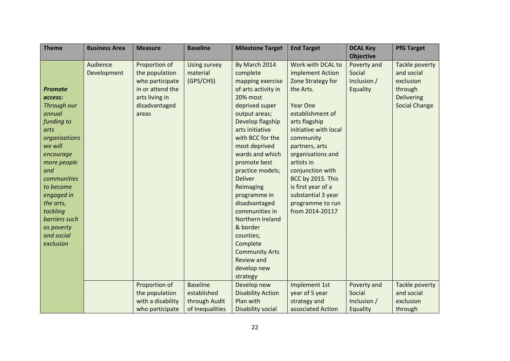| <b>Theme</b>             | <b>Business Area</b> | <b>Measure</b>    | <b>Baseline</b>     | <b>Milestone Target</b>  | <b>End Target</b>     | <b>DCAL Key</b>  | <b>PfG Target</b>    |
|--------------------------|----------------------|-------------------|---------------------|--------------------------|-----------------------|------------------|----------------------|
|                          |                      |                   |                     |                          |                       | <b>Objective</b> |                      |
|                          | Audience             | Proportion of     | <b>Using survey</b> | By March 2014            | Work with DCAL to     | Poverty and      | Tackle poverty       |
|                          | Development          | the population    | material            | complete                 | implement Action      | Social           | and social           |
|                          |                      | who participate   | (GPS/CHS)           | mapping exercise         | Zone Strategy for     | Inclusion /      | exclusion            |
| <b>Promote</b>           |                      | in or attend the  |                     | of arts activity in      | the Arts.             | Equality         | through              |
| access:                  |                      | arts living in    |                     | 20% most                 |                       |                  | Delivering           |
| Through our              |                      | disadvantaged     |                     | deprived super           | <b>Year One</b>       |                  | <b>Social Change</b> |
| annual                   |                      | areas             |                     | output areas;            | establishment of      |                  |                      |
| funding to               |                      |                   |                     | Develop flagship         | arts flagship         |                  |                      |
| arts                     |                      |                   |                     | arts initiative          | initiative with local |                  |                      |
| organisations            |                      |                   |                     | with BCC for the         | community             |                  |                      |
| we will                  |                      |                   |                     | most deprived            | partners, arts        |                  |                      |
| encourage                |                      |                   |                     | wards and which          | organisations and     |                  |                      |
| more people              |                      |                   |                     | promote best             | artists in            |                  |                      |
| and                      |                      |                   |                     | practice models;         | conjunction with      |                  |                      |
| communities              |                      |                   |                     | <b>Deliver</b>           | BCC by 2015. This     |                  |                      |
| to become                |                      |                   |                     | Reimaging                | is first year of a    |                  |                      |
| engaged in               |                      |                   |                     | programme in             | substantial 3 year    |                  |                      |
| the arts,                |                      |                   |                     | disadvantaged            | programme to run      |                  |                      |
| tackling                 |                      |                   |                     | communities in           | from 2014-20117       |                  |                      |
| barriers such            |                      |                   |                     | Northern Ireland         |                       |                  |                      |
| as poverty<br>and social |                      |                   |                     | & border                 |                       |                  |                      |
| exclusion                |                      |                   |                     | counties;<br>Complete    |                       |                  |                      |
|                          |                      |                   |                     | <b>Community Arts</b>    |                       |                  |                      |
|                          |                      |                   |                     | <b>Review and</b>        |                       |                  |                      |
|                          |                      |                   |                     | develop new              |                       |                  |                      |
|                          |                      |                   |                     | strategy                 |                       |                  |                      |
|                          |                      | Proportion of     | <b>Baseline</b>     | Develop new              | Implement 1st         | Poverty and      | Tackle poverty       |
|                          |                      | the population    | established         | <b>Disability Action</b> | year of 5 year        | Social           | and social           |
|                          |                      | with a disability | through Audit       | Plan with                | strategy and          | Inclusion /      | exclusion            |
|                          |                      | who participate   | of Inequalities     | <b>Disability social</b> | associated Action     | Equality         | through              |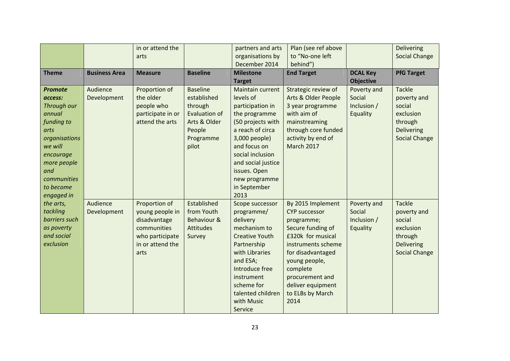|                |                      | in or attend the  |                      | partners and arts     | Plan (see ref above  |                  | <b>Delivering</b>    |
|----------------|----------------------|-------------------|----------------------|-----------------------|----------------------|------------------|----------------------|
|                |                      | arts              |                      | organisations by      | to "No-one left      |                  | <b>Social Change</b> |
|                |                      |                   |                      | December 2014         | behind")             |                  |                      |
| <b>Theme</b>   | <b>Business Area</b> | <b>Measure</b>    | <b>Baseline</b>      | <b>Milestone</b>      | <b>End Target</b>    | <b>DCAL Key</b>  | <b>PfG Target</b>    |
|                |                      |                   |                      | <b>Target</b>         |                      | <b>Objective</b> |                      |
| <b>Promote</b> | Audience             | Proportion of     | <b>Baseline</b>      | Maintain current      | Strategic review of  | Poverty and      | <b>Tackle</b>        |
| access:        | Development          | the older         | established          | levels of             | Arts & Older People  | Social           | poverty and          |
| Through our    |                      | people who        | through              | participation in      | 3 year programme     | Inclusion /      | social               |
| annual         |                      | participate in or | <b>Evaluation of</b> | the programme         | with aim of          | Equality         | exclusion            |
| funding to     |                      | attend the arts   | Arts & Older         | (50 projects with     | mainstreaming        |                  | through              |
| arts           |                      |                   | People               | a reach of circa      | through core funded  |                  | <b>Delivering</b>    |
| organisations  |                      |                   | Programme            | 3,000 people)         | activity by end of   |                  | <b>Social Change</b> |
| we will        |                      |                   | pilot                | and focus on          | <b>March 2017</b>    |                  |                      |
| encourage      |                      |                   |                      | social inclusion      |                      |                  |                      |
| more people    |                      |                   |                      | and social justice    |                      |                  |                      |
| and            |                      |                   |                      | issues. Open          |                      |                  |                      |
| communities    |                      |                   |                      | new programme         |                      |                  |                      |
| to become      |                      |                   |                      | in September          |                      |                  |                      |
| engaged in     |                      |                   |                      | 2013                  |                      |                  |                      |
| the arts,      | Audience             | Proportion of     | Established          | Scope successor       | By 2015 Implement    | Poverty and      | <b>Tackle</b>        |
| tackling       | Development          | young people in   | from Youth           | programme/            | <b>CYP successor</b> | Social           | poverty and          |
| barriers such  |                      | disadvantage      | Behaviour &          | delivery              | programme;           | Inclusion /      | social               |
| as poverty     |                      | communities       | <b>Attitudes</b>     | mechanism to          | Secure funding of    | Equality         | exclusion            |
| and social     |                      | who participate   | Survey               | <b>Creative Youth</b> | £320k for musical    |                  | through              |
| exclusion      |                      | in or attend the  |                      | Partnership           | instruments scheme   |                  | <b>Delivering</b>    |
|                |                      | arts              |                      | with Libraries        | for disadvantaged    |                  | <b>Social Change</b> |
|                |                      |                   |                      | and ESA;              | young people,        |                  |                      |
|                |                      |                   |                      | Introduce free        | complete             |                  |                      |
|                |                      |                   |                      | instrument            | procurement and      |                  |                      |
|                |                      |                   |                      | scheme for            | deliver equipment    |                  |                      |
|                |                      |                   |                      | talented children     | to ELBs by March     |                  |                      |
|                |                      |                   |                      | with Music            | 2014                 |                  |                      |
|                |                      |                   |                      | Service               |                      |                  |                      |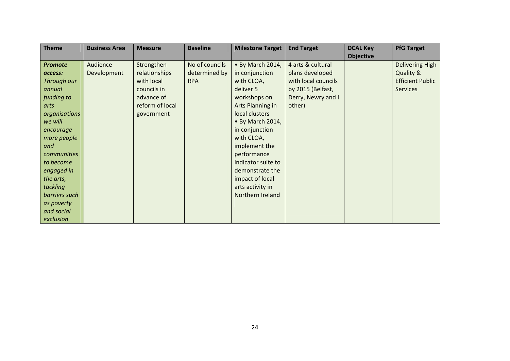| <b>Theme</b>   | <b>Business Area</b> | <b>Measure</b>  | <b>Baseline</b> | <b>Milestone Target</b> | <b>End Target</b>   | <b>DCAL Key</b>  | <b>PfG Target</b>       |
|----------------|----------------------|-----------------|-----------------|-------------------------|---------------------|------------------|-------------------------|
|                |                      |                 |                 |                         |                     | <b>Objective</b> |                         |
| <b>Promote</b> | Audience             | Strengthen      | No of councils  | • By March 2014,        | 4 arts & cultural   |                  | <b>Delivering High</b>  |
| access:        | Development          | relationships   | determined by   | in conjunction          | plans developed     |                  | Quality &               |
| Through our    |                      | with local      | <b>RPA</b>      | with CLOA,              | with local councils |                  | <b>Efficient Public</b> |
| annual         |                      | councils in     |                 | deliver 5               | by 2015 (Belfast,   |                  | <b>Services</b>         |
| funding to     |                      | advance of      |                 | workshops on            | Derry, Newry and I  |                  |                         |
| arts           |                      | reform of local |                 | Arts Planning in        | other)              |                  |                         |
| organisations  |                      | government      |                 | local clusters          |                     |                  |                         |
| we will        |                      |                 |                 | • By March 2014,        |                     |                  |                         |
| encourage      |                      |                 |                 | in conjunction          |                     |                  |                         |
| more people    |                      |                 |                 | with CLOA,              |                     |                  |                         |
| and            |                      |                 |                 | implement the           |                     |                  |                         |
| communities    |                      |                 |                 | performance             |                     |                  |                         |
| to become      |                      |                 |                 | indicator suite to      |                     |                  |                         |
| engaged in     |                      |                 |                 | demonstrate the         |                     |                  |                         |
| the arts,      |                      |                 |                 | impact of local         |                     |                  |                         |
| tackling       |                      |                 |                 | arts activity in        |                     |                  |                         |
| barriers such  |                      |                 |                 | Northern Ireland        |                     |                  |                         |
| as poverty     |                      |                 |                 |                         |                     |                  |                         |
| and social     |                      |                 |                 |                         |                     |                  |                         |
| exclusion      |                      |                 |                 |                         |                     |                  |                         |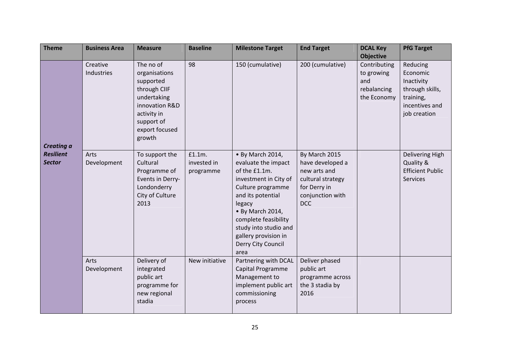| <b>Theme</b>                                    | <b>Business Area</b>   | <b>Measure</b>                                                                                                                                    | <b>Baseline</b>                    | <b>Milestone Target</b>                                                                                                                                                                                                                                          | <b>End Target</b>                                                                                                        | <b>DCAL Key</b><br><b>Objective</b>                             | <b>PfG Target</b>                                                                                    |
|-------------------------------------------------|------------------------|---------------------------------------------------------------------------------------------------------------------------------------------------|------------------------------------|------------------------------------------------------------------------------------------------------------------------------------------------------------------------------------------------------------------------------------------------------------------|--------------------------------------------------------------------------------------------------------------------------|-----------------------------------------------------------------|------------------------------------------------------------------------------------------------------|
| Creating a<br><b>Resilient</b><br><b>Sector</b> | Creative<br>Industries | The no of<br>organisations<br>supported<br>through CIIF<br>undertaking<br>innovation R&D<br>activity in<br>support of<br>export focused<br>growth | 98                                 | 150 (cumulative)                                                                                                                                                                                                                                                 | 200 (cumulative)                                                                                                         | Contributing<br>to growing<br>and<br>rebalancing<br>the Economy | Reducing<br>Economic<br>Inactivity<br>through skills,<br>training,<br>incentives and<br>job creation |
|                                                 | Arts<br>Development    | To support the<br>Cultural<br>Programme of<br>Events in Derry-<br>Londonderry<br>City of Culture<br>2013                                          | £1.1m.<br>invested in<br>programme | • By March 2014,<br>evaluate the impact<br>of the £1.1m.<br>investment in City of<br>Culture programme<br>and its potential<br>legacy<br>• By March 2014,<br>complete feasibility<br>study into studio and<br>gallery provision in<br>Derry City Council<br>area | By March 2015<br>have developed a<br>new arts and<br>cultural strategy<br>for Derry in<br>conjunction with<br><b>DCC</b> |                                                                 | Delivering High<br>Quality &<br><b>Efficient Public</b><br><b>Services</b>                           |
|                                                 | Arts<br>Development    | Delivery of<br>integrated<br>public art<br>programme for<br>new regional<br>stadia                                                                | New initiative                     | Partnering with DCAL<br>Capital Programme<br>Management to<br>implement public art<br>commissioning<br>process                                                                                                                                                   | Deliver phased<br>public art<br>programme across<br>the 3 stadia by<br>2016                                              |                                                                 |                                                                                                      |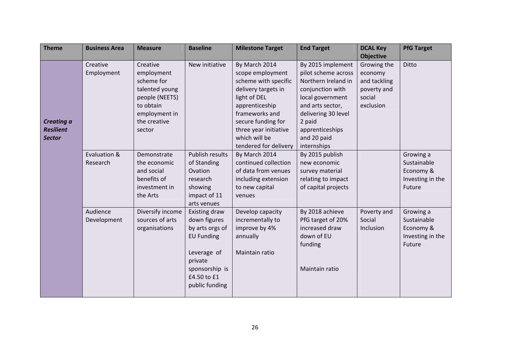| <b>Theme</b>                                           | <b>Business Area</b>     | <b>Measure</b>                                                                                                                   | <b>Baseline</b>                                                                                                                                    | <b>Milestone Target</b>                                                                                                                                                                                                       | <b>End Target</b>                                                                                                                                                                                             | <b>DCAL Key</b>                                                              | <b>PfG Target</b>                                                   |
|--------------------------------------------------------|--------------------------|----------------------------------------------------------------------------------------------------------------------------------|----------------------------------------------------------------------------------------------------------------------------------------------------|-------------------------------------------------------------------------------------------------------------------------------------------------------------------------------------------------------------------------------|---------------------------------------------------------------------------------------------------------------------------------------------------------------------------------------------------------------|------------------------------------------------------------------------------|---------------------------------------------------------------------|
|                                                        |                          |                                                                                                                                  |                                                                                                                                                    |                                                                                                                                                                                                                               |                                                                                                                                                                                                               | <b>Objective</b>                                                             |                                                                     |
| <b>Creating a</b><br><b>Resilient</b><br><b>Sector</b> | Creative<br>Employment   | Creative<br>employment<br>scheme for<br>talented young<br>people (NEETS)<br>to obtain<br>employment in<br>the creative<br>sector | New initiative                                                                                                                                     | By March 2014<br>scope employment<br>scheme with specific<br>delivery targets in<br>light of DEL<br>apprenticeship<br>frameworks and<br>secure funding for<br>three year initiative<br>which will be<br>tendered for delivery | By 2015 implement<br>pilot scheme across<br>Northern Ireland in<br>conjunction with<br>local government<br>and arts sector,<br>delivering 30 level<br>2 paid<br>apprenticeships<br>and 20 paid<br>internships | Growing the<br>economy<br>and tackling<br>poverty and<br>social<br>exclusion | Ditto                                                               |
|                                                        | Evaluation &<br>Research | Demonstrate<br>the economic<br>and social<br>benefits of<br>investment in<br>the Arts                                            | Publish results<br>of Standing<br>Ovation<br>research<br>showing<br>impact of 11<br>arts venues                                                    | By March 2014<br>continued collection<br>of data from venues<br>including extension<br>to new capital<br>venues                                                                                                               | By 2015 publish<br>new economic<br>survey material<br>relating to impact<br>of capital projects                                                                                                               |                                                                              | Growing a<br>Sustainable<br>Economy &<br>Investing in the<br>Future |
|                                                        | Audience<br>Development  | Diversify income<br>sources of arts<br>organisations                                                                             | Existing draw<br>down figures<br>by arts orgs of<br><b>EU Funding</b><br>Leverage of<br>private<br>sponsorship is<br>£4.50 to £1<br>public funding | Develop capacity<br>incrementally to<br>improve by 4%<br>annually<br>Maintain ratio                                                                                                                                           | By 2018 achieve<br>PfG target of 20%<br>increased draw<br>down of EU<br>funding<br>Maintain ratio                                                                                                             | Poverty and<br>Social<br>Inclusion                                           | Growing a<br>Sustainable<br>Economy &<br>Investing in the<br>Future |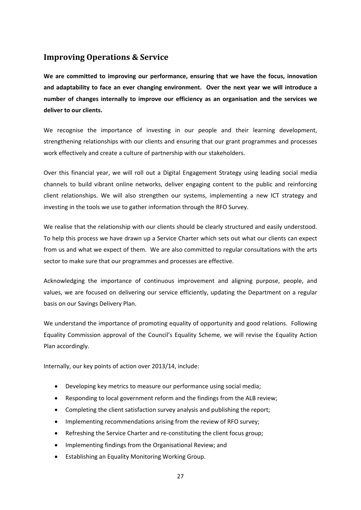# **Improving Operations & Service**

**We are committed to improving our performance, ensuring that we have the focus, innovation and adaptability to face an ever changing environment. Over the next year we will introduce a number of changes internally to improve our efficiency as an organisation and the services we deliver to our clients.** 

We recognise the importance of investing in our people and their learning development. strengthening relationships with our clients and ensuring that our grant programmes and processes work effectively and create a culture of partnership with our stakeholders.

Over this financial year, we will roll out a Digital Engagement Strategy using leading social media channels to build vibrant online networks, deliver engaging content to the public and reinforcing client relationships. We will also strengthen our systems, implementing a new ICT strategy and investing in the tools we use to gather information through the RFO Survey.

We realise that the relationship with our clients should be clearly structured and easily understood. To help this process we have drawn up a Service Charter which sets out what our clients can expect from us and what we expect of them. We are also committed to regular consultations with the arts sector to make sure that our programmes and processes are effective.

Acknowledging the importance of continuous improvement and aligning purpose, people, and values, we are focused on delivering our service efficiently, updating the Department on a regular basis on our Savings Delivery Plan.

We understand the importance of promoting equality of opportunity and good relations. Following Equality Commission approval of the Council's Equality Scheme, we will revise the Equality Action Plan accordingly.

Internally, our key points of action over 2013/14, include:

- Developing key metrics to measure our performance using social media;
- Responding to local government reform and the findings from the ALB review;
- Completing the client satisfaction survey analysis and publishing the report;
- Implementing recommendations arising from the review of RFO survey;
- Refreshing the Service Charter and re-constituting the client focus group;
- Implementing findings from the Organisational Review; and
- Establishing an Equality Monitoring Working Group.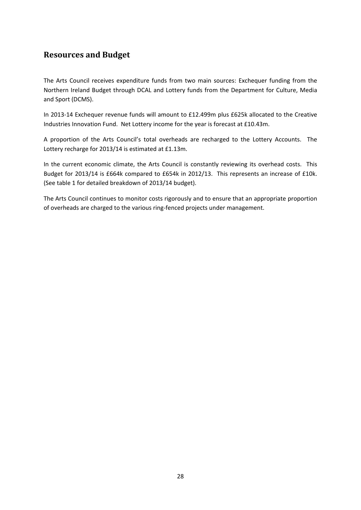# **Resources and Budget**

The Arts Council receives expenditure funds from two main sources: Exchequer funding from the Northern Ireland Budget through DCAL and Lottery funds from the Department for Culture, Media and Sport (DCMS).

In 2013‐14 Exchequer revenue funds will amount to £12.499m plus £625k allocated to the Creative Industries Innovation Fund. Net Lottery income for the year is forecast at £10.43m.

A proportion of the Arts Council's total overheads are recharged to the Lottery Accounts. The Lottery recharge for 2013/14 is estimated at £1.13m.

In the current economic climate, the Arts Council is constantly reviewing its overhead costs. This Budget for 2013/14 is £664k compared to £654k in 2012/13. This represents an increase of £10k. (See table 1 for detailed breakdown of 2013/14 budget).

The Arts Council continues to monitor costs rigorously and to ensure that an appropriate proportion of overheads are charged to the various ring‐fenced projects under management.